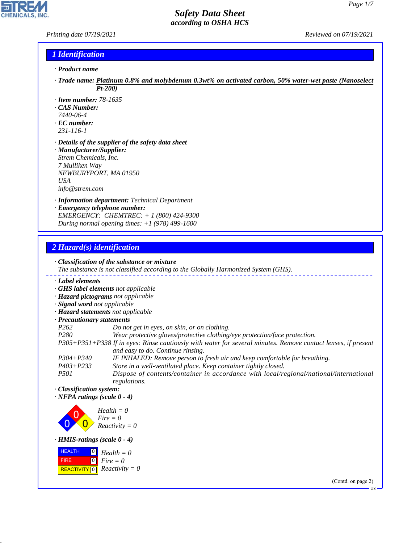#### *Printing date 07/19/2021 Reviewed on 07/19/2021*

P

**CHEMICALS, INC.** 

## *1 Identification*

- *· Product name*
- *· Trade name: Platinum 0.8% and molybdenum 0.3wt% on activated carbon, 50% water-wet paste (Nanoselect Pt-200)*
- *· Item number: 78-1635*
- *· CAS Number:*
- *7440-06-4*
- *· EC number: 231-116-1*
- *· Details of the supplier of the safety data sheet*
- *· Manufacturer/Supplier: Strem Chemicals, Inc. 7 Mulliken Way NEWBURYPORT, MA 01950 USA info@strem.com*
- *· Information department: Technical Department*
- *· Emergency telephone number: EMERGENCY: CHEMTREC: + 1 (800) 424-9300 During normal opening times: +1 (978) 499-1600*

# *2 Hazard(s) identification*

44.1.1

|                                                                            | $\cdot$ Classification of the substance or mixture<br>The substance is not classified according to the Globally Harmonized System (GHS).           |  |
|----------------------------------------------------------------------------|----------------------------------------------------------------------------------------------------------------------------------------------------|--|
| Label elements                                                             |                                                                                                                                                    |  |
| · GHS label elements not applicable                                        |                                                                                                                                                    |  |
| · Hazard pictograms not applicable                                         |                                                                                                                                                    |  |
| · Signal word not applicable                                               |                                                                                                                                                    |  |
| · Hazard statements not applicable                                         |                                                                                                                                                    |  |
| · Precautionary statements                                                 |                                                                                                                                                    |  |
| P <sub>262</sub>                                                           | Do not get in eyes, on skin, or on clothing.                                                                                                       |  |
| P <sub>280</sub>                                                           | Wear protective gloves/protective clothing/eye protection/face protection.                                                                         |  |
|                                                                            | P305+P351+P338 If in eyes: Rinse cautiously with water for several minutes. Remove contact lenses, if present<br>and easy to do. Continue rinsing. |  |
| $P304 + P340$                                                              | IF INHALED: Remove person to fresh air and keep comfortable for breathing.                                                                         |  |
| $P403 + P233$                                                              | Store in a well-ventilated place. Keep container tightly closed.                                                                                   |  |
| <i>P501</i>                                                                | Dispose of contents/container in accordance with local/regional/national/international<br>regulations.                                             |  |
| · Classification system:<br>$\cdot$ NFPA ratings (scale 0 - 4)             |                                                                                                                                                    |  |
|                                                                            | $Health = 0$<br>$Fire = 0$<br>$Reactivity = 0$                                                                                                     |  |
| · HMIS-ratings (scale 0 - 4)                                               |                                                                                                                                                    |  |
| <b>HEALTH</b><br>$\mathbf{0}$<br> 0 <br><b>FIRE</b><br><b>REACTIVITY</b> 0 | $Health = 0$<br>$Fire = 0$<br>$Reactivity = 0$                                                                                                     |  |
|                                                                            |                                                                                                                                                    |  |

(Contd. on page 2)

US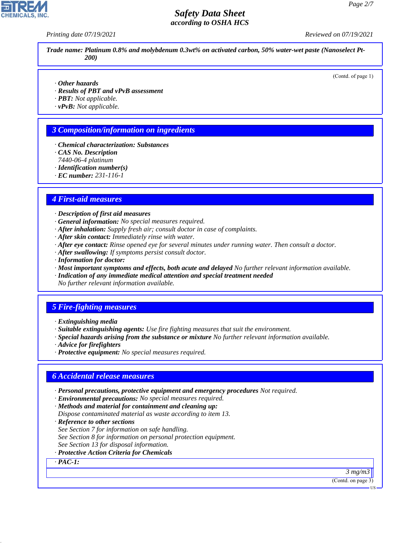*Printing date 07/19/2021 Reviewed on 07/19/2021*

*Trade name: Platinum 0.8% and molybdenum 0.3wt% on activated carbon, 50% water-wet paste (Nanoselect Pt-200)*

(Contd. of page 1)

- *· Other hazards*
- *· Results of PBT and vPvB assessment*
- *· PBT: Not applicable.*
- *· vPvB: Not applicable.*

### *3 Composition/information on ingredients*

- *· Chemical characterization: Substances*
- *· CAS No. Description*
- *7440-06-4 platinum*
- *· Identification number(s)*
- *· EC number: 231-116-1*

### *4 First-aid measures*

- *· Description of first aid measures*
- *· General information: No special measures required.*
- *· After inhalation: Supply fresh air; consult doctor in case of complaints.*
- *· After skin contact: Immediately rinse with water.*
- *· After eye contact: Rinse opened eye for several minutes under running water. Then consult a doctor.*
- *· After swallowing: If symptoms persist consult doctor.*
- *· Information for doctor:*
- *· Most important symptoms and effects, both acute and delayed No further relevant information available.*
- *· Indication of any immediate medical attention and special treatment needed No further relevant information available.*

# *5 Fire-fighting measures*

- *· Extinguishing media*
- *· Suitable extinguishing agents: Use fire fighting measures that suit the environment.*
- *· Special hazards arising from the substance or mixture No further relevant information available.*
- *· Advice for firefighters*
- *· Protective equipment: No special measures required.*

#### *6 Accidental release measures*

- *· Personal precautions, protective equipment and emergency procedures Not required.*
- *· Environmental precautions: No special measures required.*
- *· Methods and material for containment and cleaning up:*
- *Dispose contaminated material as waste according to item 13.*
- *· Reference to other sections*
- *See Section 7 for information on safe handling.*
- *See Section 8 for information on personal protection equipment.*
- *See Section 13 for disposal information.*

#### *· Protective Action Criteria for Chemicals*

*· PAC-1:*

44.1.1

*3 mg/m3*

(Contd. on page 3)



US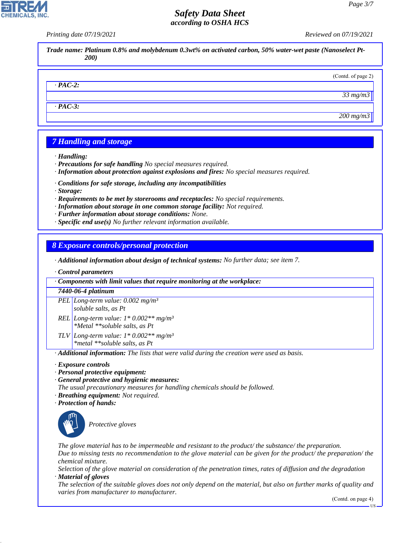*Printing date 07/19/2021 Reviewed on 07/19/2021*

*Trade name: Platinum 0.8% and molybdenum 0.3wt% on activated carbon, 50% water-wet paste (Nanoselect Pt-200)*

#### *· PAC-2:*

*· PAC-3:*

*200 mg/m3*

*33 mg/m3*

(Contd. of page 2)

# *7 Handling and storage*

- *· Handling:*
- *· Precautions for safe handling No special measures required.*
- *· Information about protection against explosions and fires: No special measures required.*
- *· Conditions for safe storage, including any incompatibilities*
- *· Storage:*
- *· Requirements to be met by storerooms and receptacles: No special requirements.*
- *· Information about storage in one common storage facility: Not required.*
- *· Further information about storage conditions: None.*
- *· Specific end use(s) No further relevant information available.*

### *8 Exposure controls/personal protection*

- *· Additional information about design of technical systems: No further data; see item 7.*
- *· Control parameters*

*· Components with limit values that require monitoring at the workplace:*

#### *7440-06-4 platinum*

- *PEL Long-term value: 0.002 mg/m³ soluble salts, as Pt*
- *REL Long-term value: 1\* 0.002\*\* mg/m³ \*Metal \*\*soluble salts, as Pt*
- *TLV Long-term value: 1\* 0.002\*\* mg/m³*
	- *\*metal \*\*soluble salts, as Pt*

*· Additional information: The lists that were valid during the creation were used as basis.*

- *· Exposure controls*
- *· Personal protective equipment:*
- *· General protective and hygienic measures:*

*The usual precautionary measures for handling chemicals should be followed.*

- *· Breathing equipment: Not required.*
- *· Protection of hands:*



44.1.1

\_S*Protective gloves*

*The glove material has to be impermeable and resistant to the product/ the substance/ the preparation.*

*Due to missing tests no recommendation to the glove material can be given for the product/ the preparation/ the chemical mixture.*

*Selection of the glove material on consideration of the penetration times, rates of diffusion and the degradation · Material of gloves*

*The selection of the suitable gloves does not only depend on the material, but also on further marks of quality and varies from manufacturer to manufacturer.*

(Contd. on page 4)

US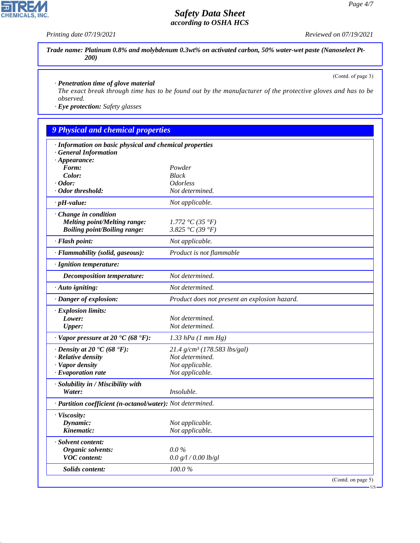*Printing date 07/19/2021 Reviewed on 07/19/2021*

*Trade name: Platinum 0.8% and molybdenum 0.3wt% on activated carbon, 50% water-wet paste (Nanoselect Pt-200)*

(Contd. of page 3)

#### *· Penetration time of glove material*

*The exact break through time has to be found out by the manufacturer of the protective gloves and has to be observed.*

*· Eye protection: Safety glasses*

# *9 Physical and chemical properties*

| · Information on basic physical and chemical properties    |                                               |                    |
|------------------------------------------------------------|-----------------------------------------------|--------------------|
| <b>General Information</b>                                 |                                               |                    |
| $\cdot$ Appearance:<br>Form:                               | Powder                                        |                    |
| Color:                                                     | <b>Black</b>                                  |                    |
| $\cdot$ Odor:                                              | <i><b>Odorless</b></i>                        |                    |
| · Odor threshold:                                          | Not determined.                               |                    |
| $\cdot$ pH-value:                                          | Not applicable.                               |                    |
|                                                            |                                               |                    |
| · Change in condition                                      |                                               |                    |
| <b>Melting point/Melting range:</b>                        | 1.772 °C (35 °F)                              |                    |
| <b>Boiling point/Boiling range:</b>                        | 3.825 °C (39 °F)                              |                    |
| · Flash point:                                             | Not applicable.                               |                    |
| · Flammability (solid, gaseous):                           | Product is not flammable                      |                    |
| · Ignition temperature:                                    |                                               |                    |
| <b>Decomposition temperature:</b>                          | Not determined.                               |                    |
| $\cdot$ Auto igniting:                                     | Not determined.                               |                    |
| · Danger of explosion:                                     | Product does not present an explosion hazard. |                    |
| · Explosion limits:                                        |                                               |                    |
| Lower:                                                     | Not determined.                               |                    |
| <b>Upper:</b>                                              | Not determined.                               |                    |
| $\cdot$ Vapor pressure at 20 °C (68 °F):                   | $1.33$ hPa $(1$ mm $Hg)$                      |                    |
| $\cdot$ Density at 20 °C (68 °F):                          | 21.4 g/cm <sup>3</sup> (178.583 lbs/gal)      |                    |
| · Relative density                                         | Not determined.                               |                    |
| · Vapor density                                            | Not applicable.                               |                    |
| $\cdot$ Evaporation rate                                   | Not applicable.                               |                    |
| · Solubility in / Miscibility with                         |                                               |                    |
| Water:                                                     | Insoluble.                                    |                    |
| · Partition coefficient (n-octanol/water): Not determined. |                                               |                    |
| · Viscosity:                                               |                                               |                    |
| Dynamic:                                                   | Not applicable.                               |                    |
| Kinematic:                                                 | Not applicable.                               |                    |
| · Solvent content:                                         |                                               |                    |
| Organic solvents:                                          | $0.0\%$                                       |                    |
| <b>VOC</b> content:                                        | 0.0 g/l / 0.00 lb/gl                          |                    |
| Solids content:                                            | 100.0%                                        |                    |
|                                                            |                                               | (Contd. on page 5) |



44.1.1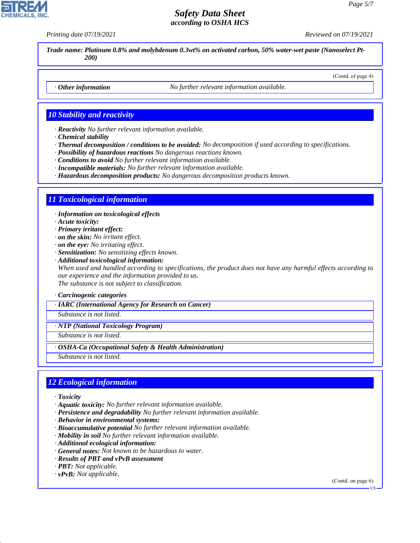*Printing date 07/19/2021 Reviewed on 07/19/2021*

(Contd. of page 4)

*Trade name: Platinum 0.8% and molybdenum 0.3wt% on activated carbon, 50% water-wet paste (Nanoselect Pt-200)*

*· Other information No further relevant information available.*

#### *10 Stability and reactivity*

*· Reactivity No further relevant information available.*

- *· Chemical stability*
- *· Thermal decomposition / conditions to be avoided: No decomposition if used according to specifications.*
- *· Possibility of hazardous reactions No dangerous reactions known.*
- *· Conditions to avoid No further relevant information available.*
- *· Incompatible materials: No further relevant information available.*
- *· Hazardous decomposition products: No dangerous decomposition products known.*

#### *11 Toxicological information*

*· Information on toxicological effects*

- *· Acute toxicity:*
- *· Primary irritant effect:*
- *· on the skin: No irritant effect.*
- *· on the eye: No irritating effect.*
- *· Sensitization: No sensitizing effects known.*
- *· Additional toxicological information:*

*When used and handled according to specifications, the product does not have any harmful effects according to our experience and the information provided to us.*

*The substance is not subject to classification.*

*· Carcinogenic categories*

#### *· IARC (International Agency for Research on Cancer)*

*Substance is not listed.*

*· NTP (National Toxicology Program)*

*Substance is not listed.*

*· OSHA-Ca (Occupational Safety & Health Administration)*

*Substance is not listed.*

# *12 Ecological information*

*· Toxicity*

44.1.1

- *· Aquatic toxicity: No further relevant information available.*
- *· Persistence and degradability No further relevant information available.*
- *· Behavior in environmental systems:*
- *· Bioaccumulative potential No further relevant information available.*
- *· Mobility in soil No further relevant information available.*
- *· Additional ecological information:*
- *· General notes: Not known to be hazardous to water.*
- *· Results of PBT and vPvB assessment*
- *· PBT: Not applicable.*
- *· vPvB: Not applicable.*

(Contd. on page 6)



**HQ**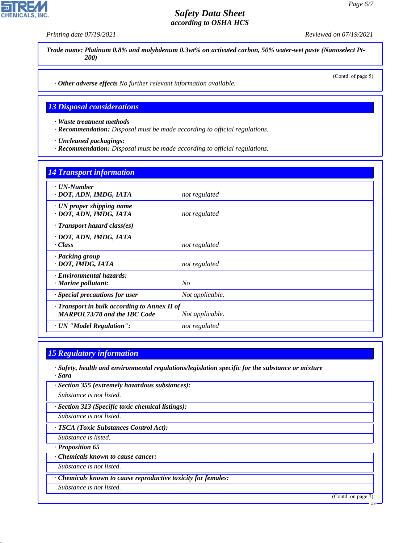**CHEMICALS** 

*Printing date 07/19/2021 Reviewed on 07/19/2021*

*Trade name: Platinum 0.8% and molybdenum 0.3wt% on activated carbon, 50% water-wet paste (Nanoselect Pt-200)*

(Contd. of page 5)

*· Other adverse effects No further relevant information available.*

#### *13 Disposal considerations*

*· Waste treatment methods*

*· Recommendation: Disposal must be made according to official regulations.*

*· Uncleaned packagings:*

*· Recommendation: Disposal must be made according to official regulations.*

# *14 Transport information · UN-Number · DOT, ADN, IMDG, IATA not regulated · UN proper shipping name · DOT, ADN, IMDG, IATA not regulated · Transport hazard class(es) · DOT, ADN, IMDG, IATA · Class not regulated · Packing group · DOT, IMDG, IATA not regulated · Environmental hazards: · Marine pollutant: No · Special precautions for user Not applicable. · Transport in bulk according to Annex II of MARPOL73/78 and the IBC Code Not applicable. · UN "Model Regulation": not regulated*

# *15 Regulatory information*

*· Safety, health and environmental regulations/legislation specific for the substance or mixture · Sara*

*· Section 355 (extremely hazardous substances):*

*Substance is not listed.*

*· Section 313 (Specific toxic chemical listings):*

*Substance is not listed.*

*· TSCA (Toxic Substances Control Act):*

*Substance is listed.*

*· Proposition 65*

44.1.1

*· Chemicals known to cause cancer:*

*Substance is not listed.*

*· Chemicals known to cause reproductive toxicity for females:*

*Substance is not listed.*

(Contd. on page 7)

US